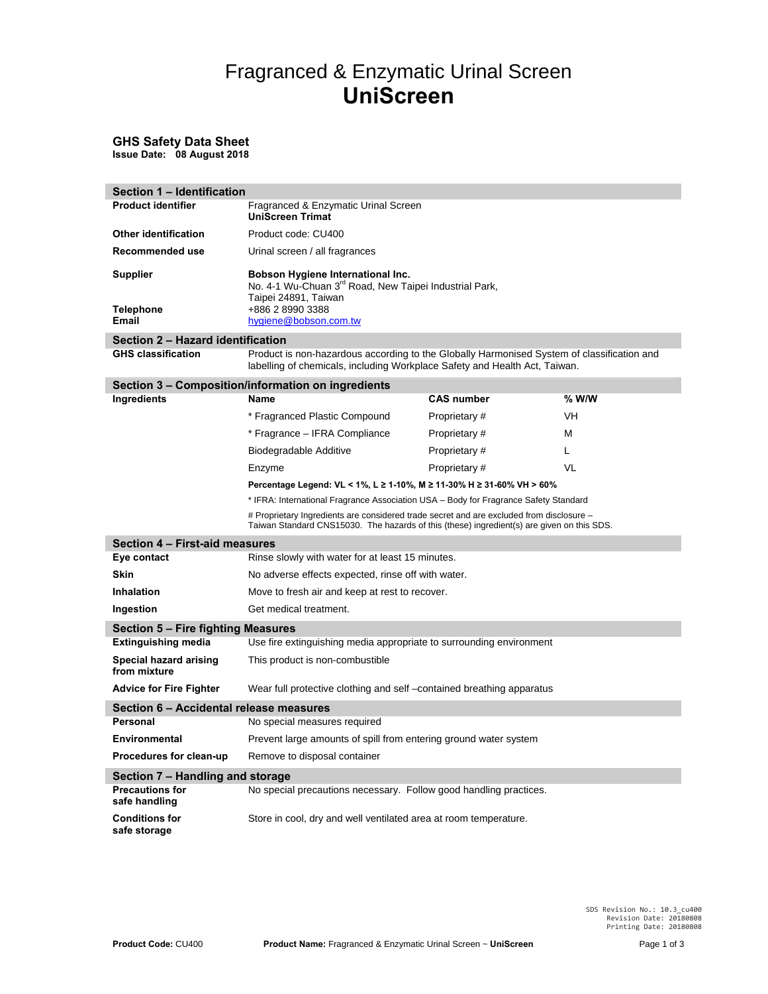# Fragranced & Enzymatic Urinal Screen **UniScreen**

### **GHS Safety Data Sheet Issue Date: 08 August 2018**

| Section 1 - Identification              |                                                                                                                                                                                        |                                                                                      |         |  |
|-----------------------------------------|----------------------------------------------------------------------------------------------------------------------------------------------------------------------------------------|--------------------------------------------------------------------------------------|---------|--|
| <b>Product identifier</b>               | Fragranced & Enzymatic Urinal Screen<br><b>UniScreen Trimat</b>                                                                                                                        |                                                                                      |         |  |
| Other identification                    | Product code: CU400                                                                                                                                                                    |                                                                                      |         |  |
| Recommended use                         | Urinal screen / all fragrances                                                                                                                                                         |                                                                                      |         |  |
| <b>Supplier</b><br>Telephone<br>Email   | Bobson Hygiene International Inc.<br>No. 4-1 Wu-Chuan 3 <sup>rd</sup> Road, New Taipei Industrial Park,<br>Taipei 24891, Taiwan<br>+886 2 8990 3388<br>hygiene@bobson.com.tw           |                                                                                      |         |  |
| Section 2 - Hazard identification       |                                                                                                                                                                                        |                                                                                      |         |  |
| <b>GHS classification</b>               | Product is non-hazardous according to the Globally Harmonised System of classification and<br>labelling of chemicals, including Workplace Safety and Health Act, Taiwan.               |                                                                                      |         |  |
|                                         | Section 3 – Composition/information on ingredients                                                                                                                                     |                                                                                      |         |  |
| Ingredients                             | Name                                                                                                                                                                                   | <b>CAS number</b>                                                                    | $%$ W/W |  |
|                                         | * Fragranced Plastic Compound                                                                                                                                                          | Proprietary#                                                                         | VH      |  |
|                                         | * Fragrance - IFRA Compliance                                                                                                                                                          | Proprietary #                                                                        | М       |  |
|                                         | Biodegradable Additive                                                                                                                                                                 | Proprietary #                                                                        | L       |  |
|                                         | Enzyme                                                                                                                                                                                 | Proprietary#                                                                         | VL      |  |
|                                         | Percentage Legend: VL < 1%, L ≥ 1-10%, M ≥ 11-30% H ≥ 31-60% VH > 60%                                                                                                                  |                                                                                      |         |  |
|                                         |                                                                                                                                                                                        | * IFRA: International Fragrance Association USA - Body for Fragrance Safety Standard |         |  |
|                                         | # Proprietary Ingredients are considered trade secret and are excluded from disclosure -<br>Taiwan Standard CNS15030. The hazards of this (these) ingredient(s) are given on this SDS. |                                                                                      |         |  |
| Section 4 - First-aid measures          |                                                                                                                                                                                        |                                                                                      |         |  |
| Eye contact                             | Rinse slowly with water for at least 15 minutes.                                                                                                                                       |                                                                                      |         |  |
| Skin                                    | No adverse effects expected, rinse off with water.                                                                                                                                     |                                                                                      |         |  |
| <b>Inhalation</b>                       | Move to fresh air and keep at rest to recover.                                                                                                                                         |                                                                                      |         |  |
| Ingestion                               | Get medical treatment.                                                                                                                                                                 |                                                                                      |         |  |
| Section 5 - Fire fighting Measures      |                                                                                                                                                                                        |                                                                                      |         |  |
| <b>Extinguishing media</b>              |                                                                                                                                                                                        | Use fire extinguishing media appropriate to surrounding environment                  |         |  |
| Special hazard arising<br>from mixture  | This product is non-combustible                                                                                                                                                        |                                                                                      |         |  |
| <b>Advice for Fire Fighter</b>          |                                                                                                                                                                                        | Wear full protective clothing and self-contained breathing apparatus                 |         |  |
| Section 6 - Accidental release measures |                                                                                                                                                                                        |                                                                                      |         |  |
| Personal                                | No special measures required                                                                                                                                                           |                                                                                      |         |  |
| Environmental                           | Prevent large amounts of spill from entering ground water system                                                                                                                       |                                                                                      |         |  |
| Procedures for clean-up                 | Remove to disposal container                                                                                                                                                           |                                                                                      |         |  |
| Section 7 - Handling and storage        |                                                                                                                                                                                        |                                                                                      |         |  |
| <b>Precautions for</b><br>safe handling | No special precautions necessary. Follow good handling practices.                                                                                                                      |                                                                                      |         |  |
| <b>Conditions for</b><br>safe storage   | Store in cool, dry and well ventilated area at room temperature.                                                                                                                       |                                                                                      |         |  |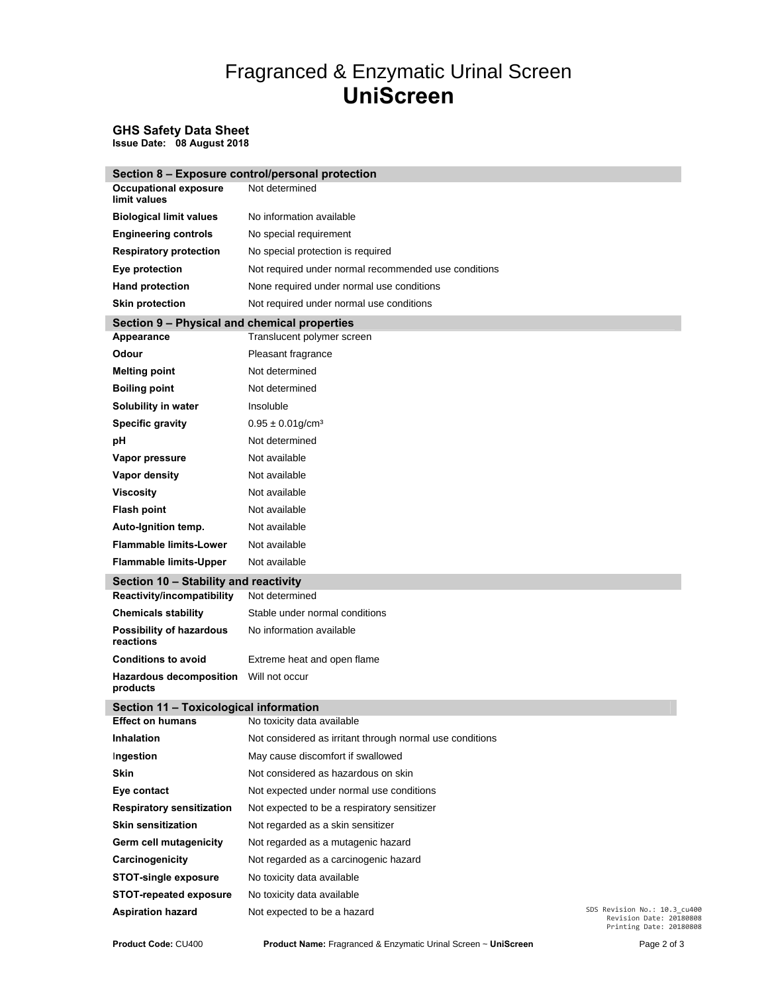# Fragranced & Enzymatic Urinal Screen **UniScreen**

### **GHS Safety Data Sheet Issue Date: 08 August 2018**

|                                              | Section 8 - Exposure control/personal protection         |                                                                                    |
|----------------------------------------------|----------------------------------------------------------|------------------------------------------------------------------------------------|
| <b>Occupational exposure</b><br>limit values | Not determined                                           |                                                                                    |
| <b>Biological limit values</b>               | No information available                                 |                                                                                    |
| <b>Engineering controls</b>                  | No special requirement                                   |                                                                                    |
| <b>Respiratory protection</b>                | No special protection is required                        |                                                                                    |
| Eye protection                               | Not required under normal recommended use conditions     |                                                                                    |
| <b>Hand protection</b>                       | None required under normal use conditions                |                                                                                    |
| <b>Skin protection</b>                       | Not required under normal use conditions                 |                                                                                    |
| Section 9 - Physical and chemical properties |                                                          |                                                                                    |
| Appearance                                   | Translucent polymer screen                               |                                                                                    |
| Odour                                        | Pleasant fragrance                                       |                                                                                    |
| <b>Melting point</b>                         | Not determined                                           |                                                                                    |
| <b>Boiling point</b>                         | Not determined                                           |                                                                                    |
| Solubility in water                          | Insoluble                                                |                                                                                    |
| <b>Specific gravity</b>                      | $0.95 \pm 0.01$ g/cm <sup>3</sup>                        |                                                                                    |
| pH                                           | Not determined                                           |                                                                                    |
| Vapor pressure                               | Not available                                            |                                                                                    |
| Vapor density                                | Not available                                            |                                                                                    |
| <b>Viscosity</b>                             | Not available                                            |                                                                                    |
| <b>Flash point</b>                           | Not available                                            |                                                                                    |
| Auto-Ignition temp.                          | Not available                                            |                                                                                    |
| <b>Flammable limits-Lower</b>                | Not available                                            |                                                                                    |
| <b>Flammable limits-Upper</b>                | Not available                                            |                                                                                    |
| Section 10 - Stability and reactivity        |                                                          |                                                                                    |
| Reactivity/incompatibility                   | Not determined                                           |                                                                                    |
| <b>Chemicals stability</b>                   | Stable under normal conditions                           |                                                                                    |
| Possibility of hazardous<br>reactions        | No information available                                 |                                                                                    |
| <b>Conditions to avoid</b>                   | Extreme heat and open flame                              |                                                                                    |
| <b>Hazardous decomposition</b><br>products   | Will not occur                                           |                                                                                    |
| Section 11 - Toxicological information       |                                                          |                                                                                    |
| <b>Effect on humans</b>                      | No toxicity data available                               |                                                                                    |
| Inhalation                                   | Not considered as irritant through normal use conditions |                                                                                    |
| Ingestion                                    | May cause discomfort if swallowed                        |                                                                                    |
| <b>Skin</b>                                  | Not considered as hazardous on skin                      |                                                                                    |
| Eye contact                                  | Not expected under normal use conditions                 |                                                                                    |
| <b>Respiratory sensitization</b>             | Not expected to be a respiratory sensitizer              |                                                                                    |
| <b>Skin sensitization</b>                    | Not regarded as a skin sensitizer                        |                                                                                    |
| Germ cell mutagenicity                       | Not regarded as a mutagenic hazard                       |                                                                                    |
| Carcinogenicity                              | Not regarded as a carcinogenic hazard                    |                                                                                    |
| <b>STOT-single exposure</b>                  | No toxicity data available                               |                                                                                    |
| <b>STOT-repeated exposure</b>                | No toxicity data available                               |                                                                                    |
| <b>Aspiration hazard</b>                     | Not expected to be a hazard                              | SDS Revision No.: 10.3_cu400<br>Revision Date: 20180808<br>Printing Date: 20180808 |